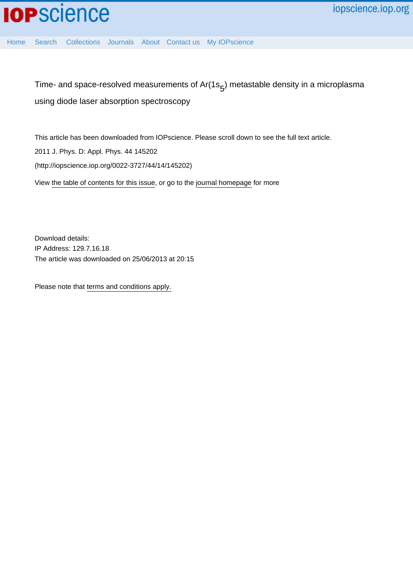

[Home](http://iopscience.iop.org/) [Search](http://iopscience.iop.org/search) [Collections](http://iopscience.iop.org/collections) [Journals](http://iopscience.iop.org/journals) [About](http://iopscience.iop.org/page/aboutioppublishing) [Contact us](http://iopscience.iop.org/contact) [My IOPscience](http://iopscience.iop.org/myiopscience)

Time- and space-resolved measurements of Ar(1s $_5$ ) metastable density in a microplasma using diode laser absorption spectroscopy

This article has been downloaded from IOPscience. Please scroll down to see the full text article.

2011 J. Phys. D: Appl. Phys. 44 145202

(http://iopscience.iop.org/0022-3727/44/14/145202)

View [the table of contents for this issue](http://iopscience.iop.org/0022-3727/44/14), or go to the [journal homepage](http://iopscience.iop.org/0022-3727) for more

Download details: IP Address: 129.7.16.18 The article was downloaded on 25/06/2013 at 20:15

Please note that [terms and conditions apply.](http://iopscience.iop.org/page/terms)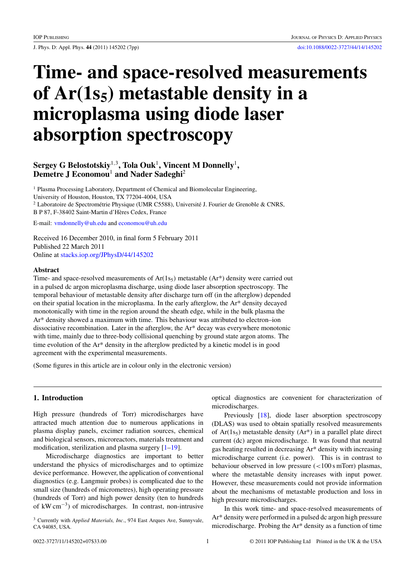J. Phys. D: Appl. Phys. **44** (2011) 145202 (7pp) [doi:10.1088/0022-3727/44/14/145202](http://dx.doi.org/10.1088/0022-3727/44/14/145202)

# **Time- and space-resolved measurements** of Ar(1s<sub>5</sub>) metastable density in a **microplasma using diode laser absorption spectroscopy**

# **Sergey G Belostotskiy**<sup>1</sup>*,*<sup>3</sup>**, Tola Ouk**<sup>1</sup>**, Vincent M Donnelly**<sup>1</sup>**, Demetre J Economou**<sup>1</sup> **and Nader Sadeghi**<sup>2</sup>

<sup>1</sup> Plasma Processing Laboratory, Department of Chemical and Biomolecular Engineering, University of Houston, Houston, TX 77204-4004, USA <sup>2</sup> Laboratoire de Spectrométrie Physique (UMR C5588), Université J. Fourier de Grenoble & CNRS, B P 87, F-38402 Saint-Martin d'Heres Cedex, France `

E-mail: [vmdonnelly@uh.edu](mailto: vmdonnelly@uh.edu) and [economou@uh.edu](mailto: economou@uh.edu)

Received 16 December 2010, in final form 5 February 2011 Published 22 March 2011 Online at [stacks.iop.org/JPhysD/44/145202](http://stacks.iop.org/JPhysD/44/145202)

#### **Abstract**

Time- and space-resolved measurements of  $Ar(1s<sub>5</sub>)$  metastable  $(Ar<sup>*</sup>)$  density were carried out in a pulsed dc argon microplasma discharge, using diode laser absorption spectroscopy. The temporal behaviour of metastable density after discharge turn off (in the afterglow) depended on their spatial location in the microplasma. In the early afterglow, the Ar\* density decayed monotonically with time in the region around the sheath edge, while in the bulk plasma the Ar\* density showed a maximum with time. This behaviour was attributed to electron–ion dissociative recombination. Later in the afterglow, the Ar\* decay was everywhere monotonic with time, mainly due to three-body collisional quenching by ground state argon atoms. The time evolution of the Ar\* density in the afterglow predicted by a kinetic model is in good agreement with the experimental measurements.

(Some figures in this article are in colour only in the electronic version)

# **1. Introduction**

High pressure (hundreds of Torr) microdischarges have attracted much attention due to numerous applications in plasma display panels, excimer radiation sources, chemical and biological sensors, microreactors, materials treatment and modification, sterilization and plasma surgery  $[1-19]$ .

Microdischarge diagnostics are important to better understand the physics of microdischarges and to optimize device performance. However, the application of conventional diagnostics (e.g. Langmuir probes) is complicated due to the small size (hundreds of micrometres), high operating pressure (hundreds of Torr) and high power density (ten to hundreds of kW cm−3) of microdischarges. In contrast, non-intrusive

<sup>3</sup> Currently with *Applied Materials, Inc*., 974 East Arques Ave, Sunnyvale, CA 94085, USA.

optical diagnostics are convenient for characterization of microdischarges.

Previously [\[18\]](#page-7-0), diode laser absorption spectroscopy (DLAS) was used to obtain spatially resolved measurements of  $Ar(1s<sub>5</sub>)$  metastable density  $(Ar<sup>*</sup>)$  in a parallel plate direct current (dc) argon microdischarge. It was found that neutral gas heating resulted in decreasing Ar\* density with increasing microdischarge current (i.e. power). This is in contrast to behaviour observed in low pressure (*<*100 s mTorr) plasmas, where the metastable density increases with input power. However, these measurements could not provide information about the mechanisms of metastable production and loss in high pressure microdischarges.

In this work time- and space-resolved measurements of Ar\* density were performed in a pulsed dc argon high pressure microdischarge. Probing the Ar\* density as a function of time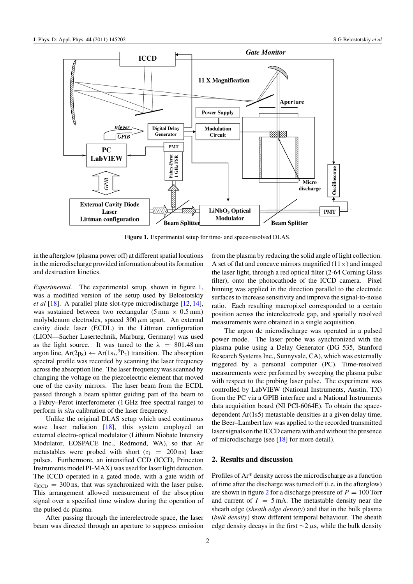

**Figure 1.** Experimental setup for time- and space-resolved DLAS.

in the afterglow (plasma power off) at different spatial locations in the microdischarge provided information about its formation and destruction kinetics.

*Experimental.* The experimental setup, shown in figure 1, was a modified version of the setup used by Belostotskiy *et al* [\[18\]](#page-7-0). A parallel plate slot-type microdischarge [\[12,](#page-7-0) [14\]](#page-7-0), was sustained between two rectangular  $(5 \text{ mm} \times 0.5 \text{ mm})$ molybdenum electrodes, spaced 300*µ*m apart. An external cavity diode laser (ECDL) in the Littman configuration (LION—Sacher Lasertechnik, Marburg, Germany) was used as the light source. It was tuned to the  $\lambda = 801.48$  nm argon line,  $Ar(2p_8) \leftarrow Ar(1s_5, {}^3P_2)$  transition. The absorption spectral profile was recorded by scanning the laser frequency across the absorption line. The laser frequency was scanned by changing the voltage on the piezoelectric element that moved one of the cavity mirrors. The laser beam from the ECDL passed through a beam splitter guiding part of the beam to a Fabry–Perot interferometer (1 GHz free spectral range) to perform *in situ* calibration of the laser frequency.

Unlike the original DLAS setup which used continuous wave laser radiation [\[18\]](#page-7-0), this system employed an external electro-optical modulator (Lithium Niobate Intensity Modulator, EOSPACE Inc., Redmond, WA), so that Ar metastables were probed with short ( $\tau_1$  = 200 ns) laser pulses. Furthermore, an intensified CCD (ICCD, Princeton Instruments model PI-MAX) was used for laser light detection. The ICCD operated in a gated mode, with a gate width of  $\tau_{\text{ICCD}} = 300 \text{ ns}$ , that was synchronized with the laser pulse. This arrangement allowed measurement of the absorption signal over a specified time window during the operation of the pulsed dc plasma.

After passing through the interelectrode space, the laser beam was directed through an aperture to suppress emission from the plasma by reducing the solid angle of light collection. A set of flat and concave mirrors magnified  $(11\times)$  and imaged the laser light, through a red optical filter (2-64 Corning Glass filter), onto the photocathode of the ICCD camera. Pixel binning was applied in the direction parallel to the electrode surfaces to increase sensitivity and improve the signal-to-noise ratio. Each resulting macropixel corresponded to a certain position across the interelectrode gap, and spatially resolved measurements were obtained in a single acquisition.

The argon dc microdischarge was operated in a pulsed power mode. The laser probe was synchronized with the plasma pulse using a Delay Generator (DG 535, Stanford Research Systems Inc., Sunnyvale, CA), which was externally triggered by a personal computer (PC). Time-resolved measurements were performed by sweeping the plasma pulse with respect to the probing laser pulse. The experiment was controlled by LabVIEW (National Instruments, Austin, TX) from the PC via a GPIB interface and a National Instruments data acquisition board (NI PCI-6064E). To obtain the spacedependent Ar(1s5) metastable densities at a given delay time, the Beer–Lambert law was applied to the recorded transmitted laser signals on the ICCD camera with and without the presence of microdischarge (see [\[18\]](#page-7-0) for more detail).

#### **2. Results and discussion**

Profiles of Ar\* density across the microdischarge as a function of time after the discharge was turned off (i.e. in the afterglow) are shown in figure [2](#page-3-0) for a discharge pressure of  $P = 100$  Torr and current of  $I = 5$  mA. The metastable density near the sheath edge (*sheath edge density*) and that in the bulk plasma (*bulk density*) show different temporal behaviour. The sheath edge density decays in the first ∼2 *µ*s, while the bulk density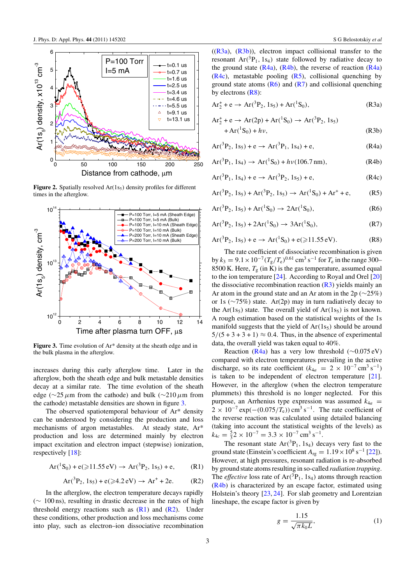<span id="page-3-0"></span>

**Figure 2.** Spatially resolved  $Ar(1s<sub>5</sub>)$  density profiles for different times in the afterglow.



**Figure 3.** Time evolution of Ar\* density at the sheath edge and in the bulk plasma in the afterglow.

increases during this early afterglow time. Later in the afterglow, both the sheath edge and bulk metastable densities decay at a similar rate. The time evolution of the sheath edge (∼25*µ*m from the cathode) and bulk (∼210*µ*m from the cathode) metastable densities are shown in figure 3.

The observed spatiotemporal behaviour of Ar\* density can be understood by considering the production and loss mechanisms of argon metastables. At steady state, Ar\* production and loss are determined mainly by electron impact excitation and electron impact (stepwise) ionization, respectively [\[18\]](#page-7-0):

$$
Ar(^{1}S_{0}) + e(\geqslant 11.55 \text{ eV}) \rightarrow Ar(^{3}P_{2}, 1s_{5}) + e, \qquad (R1)
$$

$$
Ar(^{3}P_{2}, 1s_{5}) + e(\geqslant 4.2 \text{ eV}) \rightarrow Ar^{+} + 2e. \tag{R2}
$$

In the afterglow, the electron temperature decays rapidly (∼ 100 ns), resulting in drastic decrease in the rates of high threshold energy reactions such as  $(R1)$  and  $(R2)$ . Under these conditions, other production and loss mechanisms come into play, such as electron–ion dissociative recombination

 $((R3a)$ ,  $(R3b)$ ), electron impact collisional transfer to the resonant  $Ar(^{3}P_{1}, 1s_{4})$  state followed by radiative decay to the ground state  $(R4a)$ ,  $(R4b)$ , the reverse of reaction  $(R4a)$  $(R4c)$ , metastable pooling  $(R5)$ , collisional quenching by ground state atoms  $(R6)$  and  $(R7)$  and collisional quenching by electrons  $(R8)$ :

$$
Ar_2^+ + e \to Ar(^3P_2, 1s_5) + Ar(^1S_0),
$$
 (R3a)

$$
Ar_2^+ + e \rightarrow Ar(2p) + Ar(^1S_0) \rightarrow Ar(^3P_2, 1s_5)
$$
  
+ Ar(^1S\_0) + h\nu, (R3b)

$$
Ar(^{3}P_{2}, 1s_{5}) + e \rightarrow Ar(^{3}P_{1}, 1s_{4}) + e,
$$
 (R4a)

$$
Ar(^{3}P_{1}, 1s_{4}) \rightarrow Ar(^{1}S_{0}) + h\nu(106.7 \text{ nm}), \qquad (R4b)
$$

$$
Ar(^{3}P_{1}, 1s_{4}) + e \rightarrow Ar(^{3}P_{2}, 1s_{5}) + e,
$$
 (R4c)

 $Ar(^{3}P_{2}, 1s_{5}) + Ar(^{3}P_{2}, 1s_{5}) \rightarrow Ar(^{1}S_{0}) + Ar^{+} + e,$  (R5)

$$
Ar(^{3}P_{2}, 1s_{5}) + Ar(^{1}S_{0}) \rightarrow 2Ar(^{1}S_{0}),
$$
 (R6)

$$
Ar(^{3}P_{2}, 1s_{5}) + 2Ar(^{1}S_{0}) \rightarrow 3Ar(^{1}S_{0}), \qquad (R7)
$$

$$
Ar(^{3}P_{2}, 1s_{5}) + e \rightarrow Ar(^{1}S_{0}) + e (\geqslant 11.55 \text{ eV}). \tag{R8}
$$

The rate coefficient of dissociative recombination is given by  $k_3 = 9.1 \times 10^{-7} (T_g/T_e)^{0.61}$  cm<sup>3</sup> s<sup>-1</sup> for  $T_e$  in the range 300– 8500 K. Here,  $T_g$  (in K) is the gas temperature, assumed equal to the ion temperature  $[24]$ . According to Royal and Orel  $[20]$ the dissociative recombination reaction  $(R<sub>3</sub>)$  yields mainly an Ar atom in the ground state and an Ar atom in the 2p ( $\sim$ 25%) or 1s (∼75%) state. Ar(2p) may in turn radiatively decay to the Ar( $1s<sub>5</sub>$ ) state. The overall yield of Ar( $1s<sub>5</sub>$ ) is not known. A rough estimation based on the statistical weights of the 1s manifold suggests that the yield of  $Ar(1s<sub>5</sub>)$  should be around  $5/(5+3+3+1) \approx 0.4$ . Thus, in the absence of experimental data, the overall yield was taken equal to 40%.

Reaction (R4a) has a very low threshold ( $\sim$ 0.075 eV) compared with electron temperatures prevailing in the active discharge, so its rate coefficient ( $k_{4a} = 2 \times 10^{-7}$  cm<sup>3</sup> s<sup>-1</sup>) is taken to be independent of electron temperature [\[21\]](#page-7-0). However, in the afterglow (when the electron temperature plummets) this threshold is no longer neglected. For this purpose, an Arrhenius type expression was assumed  $k_{4a}$  =  $2 \times 10^{-7}$  exp $(-(0.075/T_e))$  cm<sup>3</sup> s<sup>-1</sup>. The rate coefficient of the reverse reaction was calculated using detailed balancing (taking into account the statistical weights of the levels) as  $k_{4c} = \frac{5}{3} 2 \times 10^{-7} = 3.3 \times 10^{-7} \text{ cm}^3 \text{ s}^{-1}.$ 

The resonant state  $Ar(^{3}P_{1}, 1s_{4})$  decays very fast to the ground state (Einstein's coefficient  $A_{\text{rg}} = 1.19 \times 10^8 \text{ s}^{-1}$  [\[22\]](#page-7-0)). However, at high pressures, resonant radiation is re-absorbed by ground state atoms resulting in so-called *radiation trapping*. The *effective* loss rate of  $Ar(^{3}P_{1}, 1s_{4})$  atoms through reaction (R4b) is characterized by an escape factor, estimated using Holstein's theory [\[23,](#page-7-0) [24\]](#page-7-0). For slab geometry and Lorentzian lineshape, the escape factor is given by

$$
g = \frac{1.15}{\sqrt{\pi k_0 L}},\tag{1}
$$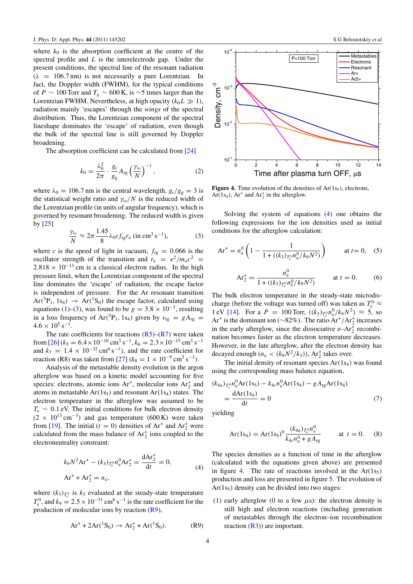<span id="page-4-0"></span>where  $k_0$  is the absorption coefficient at the centre of the spectral profile and *L* is the interelectrode gap. Under the present conditions, the spectral line of the resonant radiation  $(\lambda = 106.7 \text{ nm})$  is not necessarily a pure Lorentzian. In fact, the Doppler width (FWHM), for the typical conditions of *P* ∼ 100 Torr and  $T_g$  ∼ 600 K, is ∼5 times larger than the Lorentzian FWHM. Nevertheless, at high opacity  $(k_0 L \gg 1)$ , radiation mainly 'escapes' through the *wings* of the spectral distribution. Thus, the Lorentzian component of the spectral lineshape dominates the 'escape' of radiation, even though the bulk of the spectral line is still governed by Doppler broadening.

The absorption coefficient can be calculated from [\[24\]](#page-7-0)

$$
k_0 = \frac{\lambda_0^2}{2\pi} \cdot \frac{g_r}{g_g} A_{\rm rg} \left(\frac{\gamma_\omega}{N}\right)^{-1},\tag{2}
$$

where  $\lambda_0 = 106.7$  nm is the central wavelength,  $g_r/g_g = 3$  is the statistical weight ratio and  $\gamma_{\omega}/N$  is the reduced width of the Lorentzian profile (in units of angular frequency), which is governed by resonant broadening. The reduced width is given by  $[25]$ 

$$
\frac{\gamma_{\omega}}{N} \approx 2\pi \frac{1.45}{8} \lambda_0 c f_{\text{rg}} r_{\text{e}} \text{ (in cm3 s-1)},
$$
 (3)

where *c* is the speed of light in vacuum,  $f_{rg} = 0.066$  is the oscillator strength of the transition and  $r_e = e^2/m_ec^2$  $2.818 \times 10^{-13}$  cm is a classical electron radius. In the high pressure limit, when the Lorentzian component of the spectral line dominates the 'escape' of radiation, the escape factor is independent of pressure. For the Ar resonant transition  $Ar(^{3}P_{1}, 1s_{4}) \rightarrow Ar(^{1}S_{0})$  the escape factor, calculated using equations [\(1\)](#page-3-0)–(3), was found to be  $g = 3.8 \times 10^{-3}$ , resulting in a loss frequency of Ar(<sup>3</sup>P<sub>1</sub>, 1s<sub>4</sub>) given by  $v_{rg} = gA_{rg}$  $4.6 \times 10^5$  s<sup>-1</sup>.

The rate coefficients for reactions  $(R5)$ – $(R7)$  were taken from  $[26]$  ( $k_5 = 6.4 \times 10^{-10}$  cm<sup>3</sup> s<sup>-1</sup>,  $k_6 = 2.3 \times 10^{-15}$  cm<sup>3</sup> s<sup>-1</sup> and  $k_7 = 1.4 \times 10^{-32} \text{ cm}^6 \text{ s}^{-1}$ , and the rate coefficient for reaction (R8) was taken from [\[27\]](#page-7-0)  $(k_8 = 1 \times 10^{-9} \text{ cm}^3 \text{ s}^{-1})$ .

Analysis of the metastable density evolution in the argon afterglow was based on a kinetic model accounting for five species: electrons, atomic ions  $Ar^+$ , molecular ions  $Ar^+_2$  and atoms in metastable  $Ar(1s<sub>5</sub>)$  and resonant  $Ar(1s<sub>4</sub>)$  states. The electron temperature in the afterglow was assumed to be  $T_e \sim 0.1$  eV. The initial conditions for bulk electron density  $(2 \times 10^{13} \text{ cm}^{-3})$  and gas temperature (600 K) were taken from [\[19\]](#page-7-0). The initial ( $t = 0$ ) densities of  $Ar^+$  and  $Ar^+$  were calculated from the mass balance of  $Ar<sub>2</sub><sup>+</sup>$  ions coupled to the electroneutrality constraint:

$$
k_9 N^2 \text{Ar}^+ - (k_3)_{T_c^0} n_e^0 \text{Ar}_2^+ = \frac{\text{dAr}_2^+}{\text{d}t} = 0,
$$
  
Ar<sup>+</sup> + Ar<sub>2</sub><sup>+</sup> = n<sub>e</sub>, (4)

where  $(k_3)_{T_e^0}$  is  $k_3$  evaluated at the steady-state temperature  $T_e^0$ , and  $k_9 = 2.5 \times 10^{-31}$  cm<sup>6</sup> s<sup>-1</sup> is the rate coefficient for the production of molecular ions by reaction (R9),

$$
Ar^{+} + 2Ar(^{1}S_{0}) \rightarrow Ar_{2}^{+} + Ar(^{1}S_{0}).
$$
 (R9)



0 2 4 6 8 10 12 14

Time after plasma turn OFF,  $\mu$ s

**Figure 4.** Time evolution of the densities of  $Ar(1s<sub>5</sub>)$ , electrons,  $Ar(1s<sub>4</sub>)$ ,  $Ar<sup>+</sup>$  and  $Ar<sub>2</sub><sup>+</sup>$  in the afterglow.

Solving the system of equations (4) one obtains the following expressions for the ion densities used as initial conditions for the afterglow calculation:

$$
Ar^{+} = n_e^{0} \left( 1 - \frac{1}{1 + ((k_3)_{T_e^{0}} n_e^{0}/k_9 N^2)} \right) \qquad \text{at } t = 0, \quad (5)
$$

$$
Ar_2^+ = \frac{n_e^0}{1 + ((k_3)_{T_e^0} n_e^0 / k_9 N^2)} \qquad \text{at } t = 0.
$$
 (6)

The bulk electron temperature in the steady-state microdischarge (before the voltage was turned off) was taken as  $T_e^0 \approx$  $1 \text{ eV}$  [\[14\]](#page-7-0). For a  $P = 100 \text{ Torr}, ((k_3)_{T_e^0} n_e^0 / k_9 N^2) \approx 5$ , so Ar<sup>+</sup> is the dominant ion (∼82%). The ratio Ar<sup>+</sup>/Ar<sup>+</sup><sub>2</sub> increases in the early afterglow, since the dissociative  $e-Ar_2^+$  recombination becomes faster as the electron temperature decreases. However, in the late afterglow, after the electron density has decayed enough  $(n_e < (k_9 N^2 / k_3))$ , Ar<sub>2</sub><sup>+</sup> takes over.

The initial density of resonant species  $Ar(1s<sub>4</sub>)$  was found using the corresponding mass balance equation,

$$
(k_{4a})_{T_c^0} n_e^0 \text{Ar}(1s_5) - k_{4c} n_e^0 \text{Ar}(1s_4) - g A_{rg} \text{Ar}(1s_4)
$$
  
= 
$$
\frac{\text{d}\text{Ar}(1s_4)}{\text{d}t} = 0
$$
 (7)

yielding

10

 $10^{1}$ 

Density, cm<sup>-3</sup>

 $10<sup>1</sup>$ 

 $10^{14}$ 

$$
Ar(1s_4) = Ar(1s_5)^0 \frac{(k_{4a})_{T_c^0} n_e^0}{k_{4c} n_e^0 + g A_{rg}} \qquad \text{at } t = 0. \tag{8}
$$

The species densities as a function of time in the afterglow (calculated with the equations given above) are presented in figure 4. The rate of reactions involved in the  $Ar(1s<sub>5</sub>)$ production and loss are presented in figure [5.](#page-5-0) The evolution of  $Ar(1s<sub>5</sub>)$  density can be divided into two stages:

(1) early afterglow (0 to a few  $\mu$ s): the electron density is still high and electron reactions (including generation of metastables through the electron–ion recombination reaction  $(R3)$ ) are important.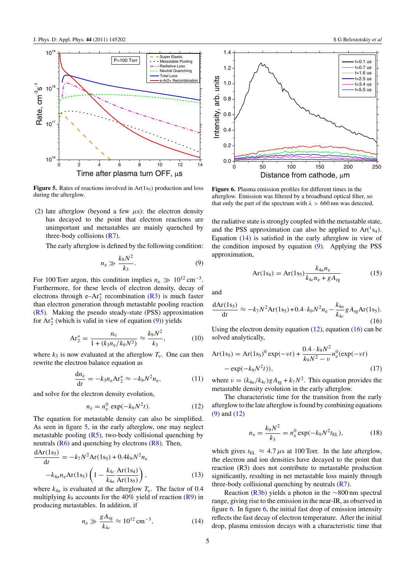<span id="page-5-0"></span>

**Figure 5.** Rates of reactions involved in  $Ar(1s<sub>5</sub>)$  production and loss during the afterglow.

(2) late afterglow (beyond a few  $\mu$ s): the electron density has decayed to the point that electron reactions are unimportant and metastables are mainly quenched by three-body collisions [\(R7\)](#page-3-0).

The early afterglow is defined by the following condition:

$$
n_{\rm e} \gg \frac{k_9 N^2}{k_3}.\tag{9}
$$

For 100 Torr argon, this condition implies  $n_e \gg 10^{12}$  cm<sup>-3</sup>. Furthermore, for these levels of electron density, decay of electrons through  $e-Ar_2^+$  recombination [\(R3\)](#page-3-0) is much faster than electron generation through metastable pooling reaction [\(R5\)](#page-3-0). Making the pseudo steady-state (PSS) approximation for  $Ar_2^+$  (which is valid in view of equation (9)) yields

$$
Ar_2^+ = \frac{n_e}{1 + (k_3 n_e / k_9 N^2)} \approx \frac{k_9 N^2}{k_3},\tag{10}
$$

where  $k_3$  is now evaluated at the afterglow  $T_e$ . One can then rewrite the electron balance equation as

$$
\frac{\mathrm{d}n_{\mathrm{e}}}{\mathrm{d}t} = -k_3 n_{\mathrm{e}} \mathrm{A} \mathbf{r}_2^+ \approx -k_9 N^2 n_{\mathrm{e}},\tag{11}
$$

and solve for the electron density evolution,

$$
n_e = n_e^0 \exp(-k_9 N^2 t). \tag{12}
$$

The equation for metastable density can also be simplified. As seen in figure 5, in the early afterglow, one may neglect metastable pooling  $(R5)$ , two-body collisional quenching by neutrals  $(R6)$  and quenching by electrons  $(R8)$ . Then,

$$
\frac{dAr(1s_5)}{dt} = -k_7 N^2 Ar(1s_5) + 0.4k_9 N^2 n_e
$$

$$
-k_{4a} n_e Ar(1s_5) \left(1 - \frac{k_{4c}}{k_{4a}} \frac{Ar(1s_4)}{Ar(1s_5)}\right),
$$
(13)

where  $k_{4a}$  is evaluated at the afterglow  $T_e$ . The factor of 0.4 multiplying  $k_9$  accounts for the 40% yield of reaction  $(R9)$  in producing metastables. In addition, if

$$
n_{\rm e} \gg \frac{gA_{\rm rg}}{k_{4c}} \approx 10^{12} \,\rm cm^{-3},\tag{14}
$$



**Figure 6.** Plasma emission profiles for different times in the afterglow. Emission was filtered by a broadband optical filter, so that only the part of the spectrum with *λ >* 660 nm was detected.

the radiative state is strongly coupled with the metastable state, and the PSS approximation can also be applied to  $Ar(^{1}S_{4})$ . Equation (14) is satisfied in the early afterglow in view of the condition imposed by equation (9). Applying the PSS approximation,

$$
Ar(1s_4) = Ar(1s_5) \frac{k_{4a} n_e}{k_{4c} n_e + g A_{rg}}
$$
 (15)

and

$$
\frac{dAr(1s_5)}{dt} \approx -k_7 N^2 Ar(1s_5) + 0.4 \cdot k_9 N^2 n_e - \frac{k_{4a}}{k_{4c}} g A_{rg} Ar(1s_5).
$$
\n(16)

Using the electron density equation  $(12)$ , equation  $(16)$  can be solved analytically,

$$
Ar(1s5) = Ar(1s5)0 exp(-v t) + \frac{0.4 \cdot k_9 N^2}{k_9 N^2 - \nu} n_e^0 (exp(-v t) - exp(-k_9 N^2 t)),
$$
\n(17)

where  $v = (k_{4a}/k_{4c})gA_{\text{rg}} + k_7N^2$ . This equation provides the metastable density evolution in the early afterglow.

The characteristic time for the transition from the early afterglow to the late afterglow is found by combining equations (9) and (12)

$$
n_{\rm e} = \frac{k_{9}N^{2}}{k_{3}} = n_{\rm e}^{0} \exp(-k_{9}N^{2}t_{\rm EL}), \qquad (18)
$$

which gives  $t_{EL} \approx 4.7 \mu s$  at 100 Torr. In the late afterglow, the electron and ion densities have decayed to the point that reaction (R3) does not contribute to metastable production significantly, resulting in net metastable loss mainly through three-body collisional quenching by neutrals  $(R7)$ .

Reaction [\(R3b\)](#page-3-0) yields a photon in the ∼800 nm spectral range, giving rise to the emission in the near-IR, as observed in figure 6. In figure 6, the initial fast drop of emission intensity reflects the fast decay of electron temperature. After the initial drop, plasma emission decays with a characteristic time that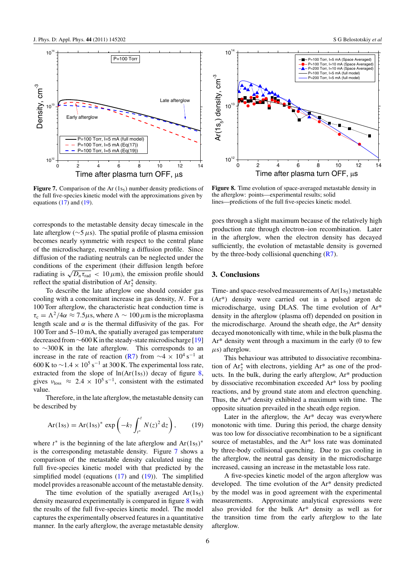

**Figure 7.** Comparison of the Ar  $(1s<sub>5</sub>)$  number density predictions of the full five-species kinetic model with the approximations given by equations  $(17)$  and  $(19)$ .

corresponds to the metastable density decay timescale in the late afterglow (∼5*µ*s). The spatial profile of plasma emission becomes nearly symmetric with respect to the central plane of the microdischarge, resembling a diffusion profile. Since diffusion of the radiating neutrals can be neglected under the conditions of the experiment (their diffusion length before radiating is  $\sqrt{D_n \tau_{\text{rad}}}$  < 10  $\mu$ m), the emission profile should reflect the spatial distribution of  $Ar_2^+$  density.

To describe the late afterglow one should consider gas cooling with a concomitant increase in gas density, *N*. For a 100 Torr afterglow, the characteristic heat conduction time is  $\tau_c = \Lambda^2/4\alpha \approx 7.5\mu s$ , where  $\Lambda \sim 100 \mu m$  is the microplasma length scale and  $\alpha$  is the thermal diffusivity of the gas. For 100 Torr and 5–10 mA, the spatially averaged gas temperature decreased from∼600 K in the steady-state microdischarge [\[19\]](#page-7-0) to ∼300 K in the late afterglow. This corresponds to an increase in the rate of reaction [\(R7\)](#page-3-0) from  $\sim$ 4 × 10<sup>4</sup> s<sup>-1</sup> at 600 K to  $\sim$ 1.4 × 10<sup>5</sup> s<sup>-1</sup> at 300 K. The experimental loss rate, extracted from the slope of  $ln(Ar(1s<sub>5</sub>))$  decay of figure 8, gives  $v_{\text{loss}} \approx 2.4 \times 10^5 \text{ s}^{-1}$ , consistent with the estimated value.

Therefore, in the late afterglow, the metastable density can be described by

$$
Ar(1s_5) = Ar(1s_5)^* \exp\left(-k_7 \int_{t^*}^t N(z)^2 dz\right), \qquad (19)
$$

where *t*<sup>∗</sup> is the beginning of the late afterglow and Ar(1s<sub>5</sub>)<sup>∗</sup> is the corresponding metastable density. Figure 7 shows a comparison of the metastable density calculated using the full five-species kinetic model with that predicted by the simplified model (equations  $(17)$  and  $(19)$ ). The simplified model provides a reasonable account of the metastable density.

The time evolution of the spatially averaged  $Ar(1s<sub>5</sub>)$ density measured experimentally is compared in figure 8 with the results of the full five-species kinetic model. The model captures the experimentally observed features in a quantitative manner. In the early afterglow, the average metastable density



**Figure 8.** Time evolution of space-averaged metastable density in the afterglow: points—experimental results; solid lines—predictions of the full five-species kinetic model.

goes through a slight maximum because of the relatively high production rate through electron–ion recombination. Later in the afterglow, when the electron density has decayed sufficiently, the evolution of metastable density is governed by the three-body collisional quenching [\(R7\)](#page-3-0).

#### **3. Conclusions**

Time- and space-resolved measurements of Ar(1s<sub>5</sub>) metastable (Ar\*) density were carried out in a pulsed argon dc microdischarge, using DLAS. The time evolution of Ar\* density in the afterglow (plasma off) depended on position in the microdischarge. Around the sheath edge, the Ar\* density decayed monotonically with time, while in the bulk plasma the Ar\* density went through a maximum in the early (0 to few *µ*s) afterglow.

This behaviour was attributed to dissociative recombination of  $Ar_2^+$  with electrons, yielding  $Ar^*$  as one of the products. In the bulk, during the early afterglow, Ar\* production by dissociative recombination exceeded Ar\* loss by pooling reactions, and by ground state atom and electron quenching. Thus, the Ar\* density exhibited a maximum with time. The opposite situation prevailed in the sheath edge region.

Later in the afterglow, the Ar\* decay was everywhere monotonic with time. During this period, the charge density was too low for dissociative recombination to be a significant source of metastables, and the Ar\* loss rate was dominated by three-body collisional quenching. Due to gas cooling in the afterglow, the neutral gas density in the microdischarge increased, causing an increase in the metastable loss rate.

A five-species kinetic model of the argon afterglow was developed. The time evolution of the Ar\* density predicted by the model was in good agreement with the experimental measurements. Approximate analytical expressions were also provided for the bulk Ar\* density as well as for the transition time from the early afterglow to the late afterglow.